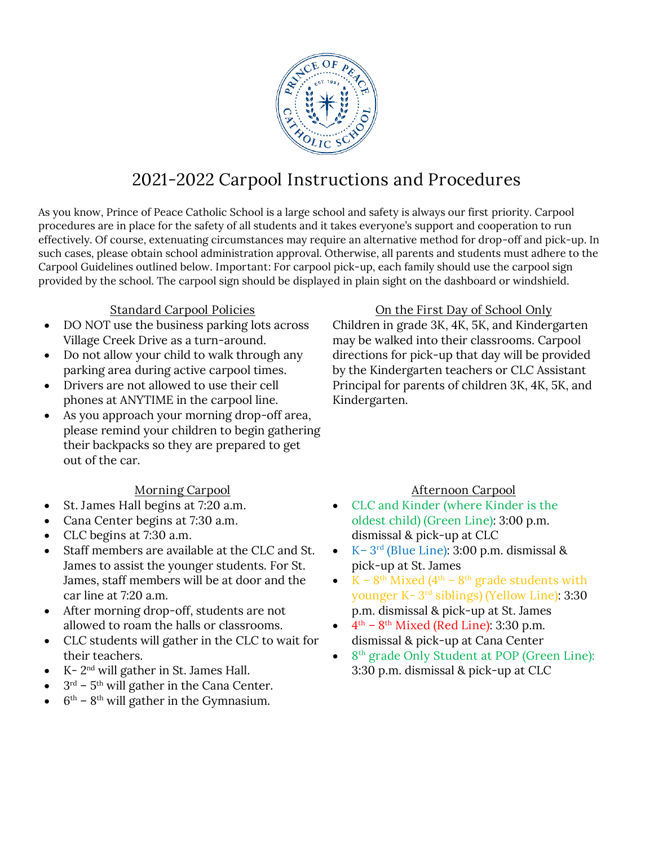

# **2021-2022 Carpool Instructions and Procedures**

As you know, Prince of Peace Catholic School is a large school and safety is always our first priority. Carpool procedures are in place for the safety of all students and it takes everyone's support and cooperation to run effectively. Of course, extenuating circumstances may require an alternative method for drop-off and pick-up. In such cases, please obtain school administration approval. Otherwise, all parents and students must adhere to the Carpool Guidelines outlined below. **Important**: For carpool pick-up, each family should use the carpool sign provided by the school. The carpool sign should be displayed in plain sight on the dashboard or windshield.

#### **Standard Carpool Policies**

- DO NOT use the business parking lots across Village Creek Drive as a turn-around.
- Do not allow your child to walk through any parking area during active carpool times.
- Drivers are not allowed to use their cell phones at ANYTIME in the carpool line.
- As you approach your morning drop-off area, please remind your children to begin gathering their backpacks so they are prepared to get out of the car.

### **Morning Carpool**

- **St. James Hall begins at 7:20 a.m.**
- **Cana Center begins at 7:30 a.m.**
- **CLC begins at 7:30 a.m.**
- Staff members are available at the CLC and St. James to assist the younger students. For St. James, staff members will be at door and the car line at 7:20 a.m.
- After morning drop-off, students are not allowed to roam the halls or classrooms.
- CLC students will gather in the CLC to wait for their teachers.
- K  $2<sup>nd</sup>$  will gather in St. James Hall.
- $3<sup>rd</sup>$   $5<sup>th</sup>$  will gather in the Cana Center.
- $6<sup>th</sup> 8<sup>th</sup>$  will gather in the Gymnasium.

**On the First Day of School Only** Children in grade 3K, 4K, 5K, and Kindergarten may be walked into their classrooms. Carpool directions for pick-up that day will be provided by the Kindergarten teachers or CLC Assistant Principal for parents of children 3K, 4K, 5K, and Kindergarten.

### **Afternoon Carpool**

- **CLC and Kinder (where Kinder is the oldest child) (Green Line)**: 3:00 p.m. dismissal & pick-up at CLC
- **K– 3 rd (Blue Line)**: 3:00 p.m. dismissal & pick-up at St. James
- $K 8$ <sup>th</sup> Mixed (4<sup>th</sup> 8<sup>th</sup> grade students with **younger K- 3 rd siblings) (Yellow Line)**: 3:30 p.m. dismissal & pick-up at St. James
- $4^{\text{th}} 8^{\text{th}}$  Mixed (Red Line): 3:30 p.m. dismissal & pick-up at Cana Center
- **8 th grade Only Student at POP (Green Line)**: 3:30 p.m. dismissal & pick-up at CLC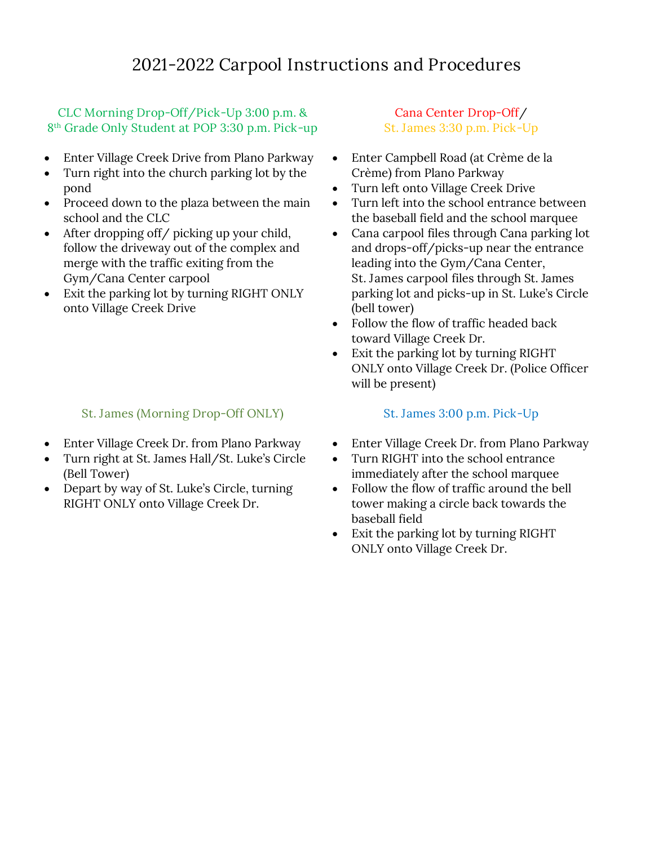## **CLC Morning Drop-Off/Pick-Up 3:00 p.m. & 8 th Grade Only Student at POP 3:30 p.m. Pick-up**

- Enter Village Creek Drive from Plano Parkway
- Turn right into the church parking lot by the pond
- Proceed down to the plaza between the main school and the CLC
- After dropping off/ picking up your child, follow the driveway out of the complex and merge with the traffic exiting from the Gym/Cana Center carpool
- Exit the parking lot by turning RIGHT ONLY onto Village Creek Drive

# **St. James (Morning Drop-Off ONLY)**

- Enter Village Creek Dr. from Plano Parkway
- Turn right at St. James Hall/St. Luke's Circle (Bell Tower)
- Depart by way of St. Luke's Circle, turning RIGHT ONLY onto Village Creek Dr.

## **Cana Center Drop-Off/ St. James 3:30 p.m. Pick-Up**

- Enter Campbell Road (at Crème de la Crème) from Plano Parkway
- Turn left onto Village Creek Drive
- Turn left into the school entrance between the baseball field and the school marquee
- **Cana carpool** files through Cana parking lot and drops-off/picks-up near the entrance leading into the Gym/Cana Center, **St. James carpool** files through St. James parking lot and picks-up in St. Luke's Circle (bell tower)
- Follow the flow of traffic headed back toward Village Creek Dr.
- Exit the parking lot by turning RIGHT ONLY onto Village Creek Dr. (Police Officer will be present)

## **St. James 3:00 p.m. Pick-Up**

- Enter Village Creek Dr. from Plano Parkway
- Turn RIGHT into the school entrance immediately after the school marquee
- Follow the flow of traffic around the bell tower making a circle back towards the baseball field
- Exit the parking lot by turning RIGHT ONLY onto Village Creek Dr.